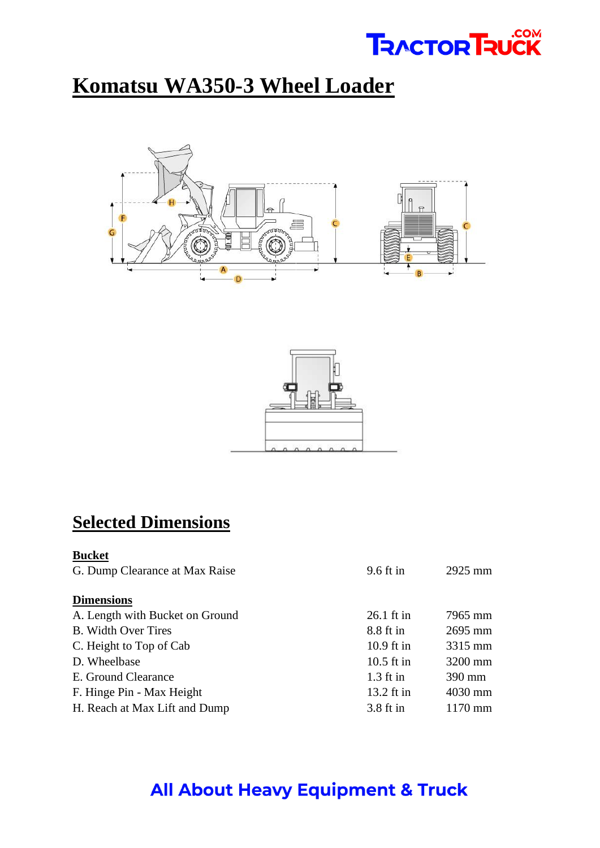# **TRACTOR TRUCK**

# **Komatsu WA350-3 Wheel Loader**





#### **Selected Dimensions**

| <b>Bucket</b>                   |              |           |
|---------------------------------|--------------|-----------|
| G. Dump Clearance at Max Raise  | $9.6$ ft in  | $2925$ mm |
| <b>Dimensions</b>               |              |           |
| A. Length with Bucket on Ground | $26.1$ ft in | 7965 mm   |
| <b>B.</b> Width Over Tires      | 8.8 ft in    | 2695 mm   |
| C. Height to Top of Cab         | $10.9$ ft in | 3315 mm   |
| D. Wheelbase                    | $10.5$ ft in | 3200 mm   |
| E. Ground Clearance             | $1.3$ ft in  | 390 mm    |
| F. Hinge Pin - Max Height       | 13.2 ft in   | 4030 mm   |
| H. Reach at Max Lift and Dump   | $3.8$ ft in  | $1170$ mm |

### **All About Heavy Equipment & Truck**